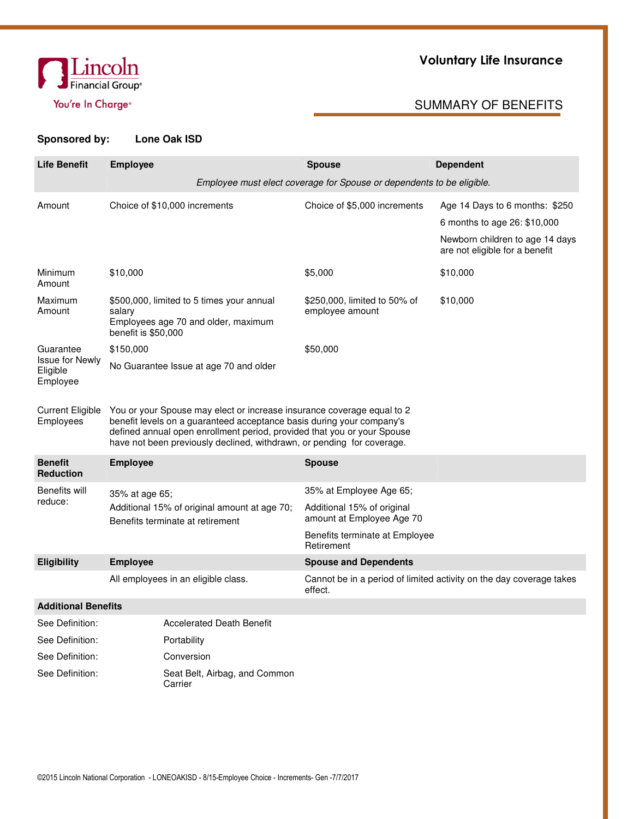

# Voluntary Life Insurance

## You're In Charge® and SUMMARY OF BENEFITS

| <b>Life Benefit</b>                            | <b>Employee</b>                                                                                                                                                                                                                                                                                      | <b>Dependent</b><br><b>Spouse</b>                                     |                                                                                                                                     |  |  |  |  |
|------------------------------------------------|------------------------------------------------------------------------------------------------------------------------------------------------------------------------------------------------------------------------------------------------------------------------------------------------------|-----------------------------------------------------------------------|-------------------------------------------------------------------------------------------------------------------------------------|--|--|--|--|
|                                                |                                                                                                                                                                                                                                                                                                      | Employee must elect coverage for Spouse or dependents to be eligible. |                                                                                                                                     |  |  |  |  |
| Amount                                         | Choice of \$10,000 increments                                                                                                                                                                                                                                                                        | Choice of \$5,000 increments                                          | Age 14 Days to 6 months: \$250<br>6 months to age 26: \$10,000<br>Newborn children to age 14 days<br>are not eligible for a benefit |  |  |  |  |
| Minimum<br>Amount                              | \$10,000                                                                                                                                                                                                                                                                                             | \$5,000                                                               | \$10,000                                                                                                                            |  |  |  |  |
| Maximum<br>Amount                              | \$500,000, limited to 5 times your annual<br>salary<br>Employees age 70 and older, maximum<br>benefit is \$50,000                                                                                                                                                                                    | \$250,000, limited to 50% of<br>employee amount                       | \$10,000                                                                                                                            |  |  |  |  |
| Guarantee                                      | \$150,000                                                                                                                                                                                                                                                                                            | \$50,000                                                              |                                                                                                                                     |  |  |  |  |
| <b>Issue for Newly</b><br>Eligible<br>Employee | No Guarantee Issue at age 70 and older                                                                                                                                                                                                                                                               |                                                                       |                                                                                                                                     |  |  |  |  |
| Current Eligible<br>Employees                  | You or your Spouse may elect or increase insurance coverage equal to 2<br>benefit levels on a guaranteed acceptance basis during your company's<br>defined annual open enrollment period, provided that you or your Spouse<br>have not been previously declined, withdrawn, or pending for coverage. |                                                                       |                                                                                                                                     |  |  |  |  |
| <b>Benefit</b><br><b>Reduction</b>             | <b>Employee</b>                                                                                                                                                                                                                                                                                      | <b>Spouse</b>                                                         |                                                                                                                                     |  |  |  |  |
| Benefits will                                  | 35% at age 65;                                                                                                                                                                                                                                                                                       | 35% at Employee Age 65;                                               |                                                                                                                                     |  |  |  |  |
| reduce:                                        | Additional 15% of original amount at age 70;<br>Benefits terminate at retirement                                                                                                                                                                                                                     | Additional 15% of original<br>amount at Employee Age 70               |                                                                                                                                     |  |  |  |  |
|                                                |                                                                                                                                                                                                                                                                                                      | Benefits terminate at Employee<br>Retirement                          |                                                                                                                                     |  |  |  |  |
| <b>Eligibility</b>                             | <b>Employee</b>                                                                                                                                                                                                                                                                                      | <b>Spouse and Dependents</b>                                          |                                                                                                                                     |  |  |  |  |
|                                                | All employees in an eligible class.                                                                                                                                                                                                                                                                  | effect.                                                               | Cannot be in a period of limited activity on the day coverage takes                                                                 |  |  |  |  |
| <b>Additional Benefits</b>                     |                                                                                                                                                                                                                                                                                                      |                                                                       |                                                                                                                                     |  |  |  |  |
| See Definition:                                | <b>Accelerated Death Benefit</b>                                                                                                                                                                                                                                                                     |                                                                       |                                                                                                                                     |  |  |  |  |
| See Definition:                                | Portability                                                                                                                                                                                                                                                                                          |                                                                       |                                                                                                                                     |  |  |  |  |
| See Definition:                                | Conversion                                                                                                                                                                                                                                                                                           |                                                                       |                                                                                                                                     |  |  |  |  |
| See Definition:                                | Seat Belt, Airbag, and Common<br>Carrier                                                                                                                                                                                                                                                             |                                                                       |                                                                                                                                     |  |  |  |  |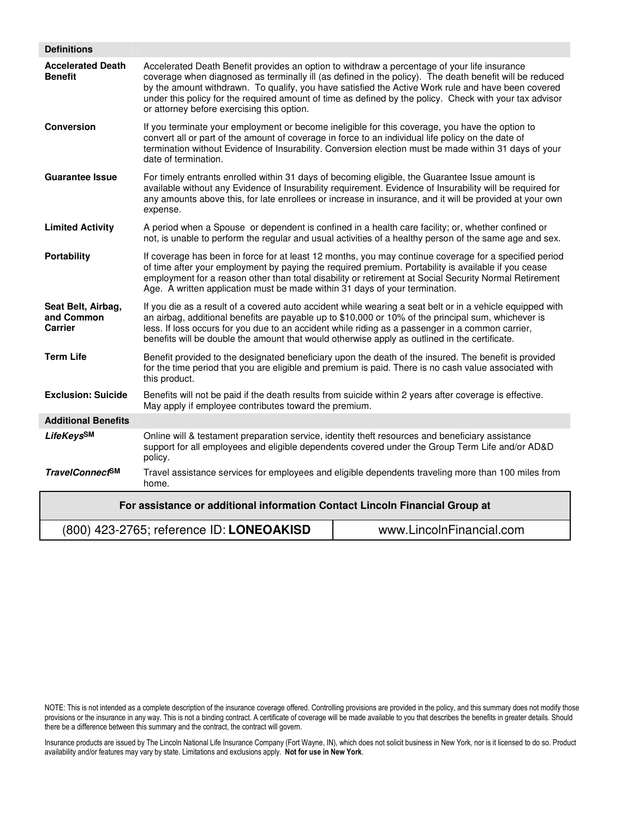| <b>Definitions</b>                                                          |                                                                                                                                                                                                                                                                                                                                                                                                                       |                                                                                                                                                                                                                                                                                                                                                                                                                          |  |  |  |  |  |
|-----------------------------------------------------------------------------|-----------------------------------------------------------------------------------------------------------------------------------------------------------------------------------------------------------------------------------------------------------------------------------------------------------------------------------------------------------------------------------------------------------------------|--------------------------------------------------------------------------------------------------------------------------------------------------------------------------------------------------------------------------------------------------------------------------------------------------------------------------------------------------------------------------------------------------------------------------|--|--|--|--|--|
| <b>Accelerated Death</b><br><b>Benefit</b>                                  | or attorney before exercising this option.                                                                                                                                                                                                                                                                                                                                                                            | Accelerated Death Benefit provides an option to withdraw a percentage of your life insurance<br>coverage when diagnosed as terminally ill (as defined in the policy). The death benefit will be reduced<br>by the amount withdrawn. To qualify, you have satisfied the Active Work rule and have been covered<br>under this policy for the required amount of time as defined by the policy. Check with your tax advisor |  |  |  |  |  |
| <b>Conversion</b>                                                           | If you terminate your employment or become ineligible for this coverage, you have the option to<br>convert all or part of the amount of coverage in force to an individual life policy on the date of<br>termination without Evidence of Insurability. Conversion election must be made within 31 days of your<br>date of termination.                                                                                |                                                                                                                                                                                                                                                                                                                                                                                                                          |  |  |  |  |  |
| <b>Guarantee Issue</b>                                                      | expense.                                                                                                                                                                                                                                                                                                                                                                                                              | For timely entrants enrolled within 31 days of becoming eligible, the Guarantee Issue amount is<br>available without any Evidence of Insurability requirement. Evidence of Insurability will be required for<br>any amounts above this, for late enrollees or increase in insurance, and it will be provided at your own                                                                                                 |  |  |  |  |  |
| <b>Limited Activity</b>                                                     |                                                                                                                                                                                                                                                                                                                                                                                                                       | A period when a Spouse or dependent is confined in a health care facility; or, whether confined or<br>not, is unable to perform the regular and usual activities of a healthy person of the same age and sex.                                                                                                                                                                                                            |  |  |  |  |  |
| <b>Portability</b>                                                          | If coverage has been in force for at least 12 months, you may continue coverage for a specified period<br>of time after your employment by paying the required premium. Portability is available if you cease<br>employment for a reason other than total disability or retirement at Social Security Normal Retirement<br>Age. A written application must be made within 31 days of your termination.                |                                                                                                                                                                                                                                                                                                                                                                                                                          |  |  |  |  |  |
| Seat Belt, Airbag,<br>and Common<br><b>Carrier</b>                          | If you die as a result of a covered auto accident while wearing a seat belt or in a vehicle equipped with<br>an airbag, additional benefits are payable up to \$10,000 or 10% of the principal sum, whichever is<br>less. If loss occurs for you due to an accident while riding as a passenger in a common carrier,<br>benefits will be double the amount that would otherwise apply as outlined in the certificate. |                                                                                                                                                                                                                                                                                                                                                                                                                          |  |  |  |  |  |
| <b>Term Life</b>                                                            | this product.                                                                                                                                                                                                                                                                                                                                                                                                         | Benefit provided to the designated beneficiary upon the death of the insured. The benefit is provided<br>for the time period that you are eligible and premium is paid. There is no cash value associated with                                                                                                                                                                                                           |  |  |  |  |  |
| <b>Exclusion: Suicide</b>                                                   | May apply if employee contributes toward the premium.                                                                                                                                                                                                                                                                                                                                                                 | Benefits will not be paid if the death results from suicide within 2 years after coverage is effective.                                                                                                                                                                                                                                                                                                                  |  |  |  |  |  |
| <b>Additional Benefits</b>                                                  |                                                                                                                                                                                                                                                                                                                                                                                                                       |                                                                                                                                                                                                                                                                                                                                                                                                                          |  |  |  |  |  |
| LifeKeysSM                                                                  | policy.                                                                                                                                                                                                                                                                                                                                                                                                               | Online will & testament preparation service, identity theft resources and beneficiary assistance<br>support for all employees and eligible dependents covered under the Group Term Life and/or AD&D                                                                                                                                                                                                                      |  |  |  |  |  |
| <b>TravelConnectSM</b>                                                      | home.                                                                                                                                                                                                                                                                                                                                                                                                                 | Travel assistance services for employees and eligible dependents traveling more than 100 miles from                                                                                                                                                                                                                                                                                                                      |  |  |  |  |  |
| For assistance or additional information Contact Lincoln Financial Group at |                                                                                                                                                                                                                                                                                                                                                                                                                       |                                                                                                                                                                                                                                                                                                                                                                                                                          |  |  |  |  |  |
|                                                                             | (800) 423-2765; reference ID: LONEOAKISD                                                                                                                                                                                                                                                                                                                                                                              | www.LincolnFinancial.com                                                                                                                                                                                                                                                                                                                                                                                                 |  |  |  |  |  |

Insurance products are issued by The Lincoln National Life Insurance Company (Fort Wayne, IN), which does not solicit business in New York, nor is it licensed to do so. Product availability and/or features may vary by state. Limitations and exclusions apply. Not for use in New York.

NOTE: This is not intended as a complete description of the insurance coverage offered. Controlling provisions are provided in the policy, and this summary does not modify those provisions or the insurance in any way. This is not a binding contract. A certificate of coverage will be made available to you that describes the benefits in greater details. Should there be a difference between this summary and the contract, the contract will govern.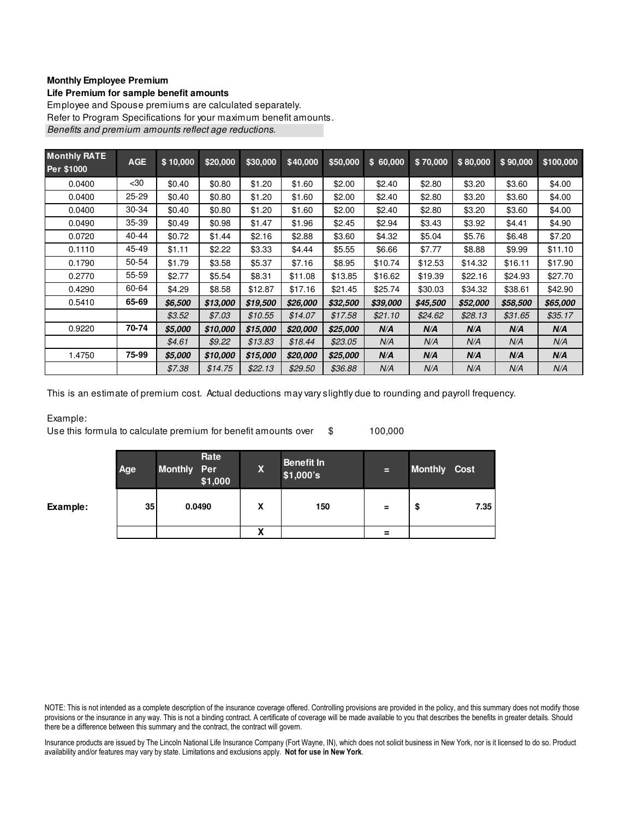### **Monthly Employee Premium**

#### **Life Premium for sample benefit amounts**

Employee and Spouse premiums are calculated separately. Refer to Program Specifications for your maximum benefit amounts. Benefits and premium amounts reflect age reductions.

| <b>Monthly RATE</b><br>Per \$1000 | <b>AGE</b> | \$10,000 | \$20,000 | \$30,000 | \$40,000 | \$50,000 | \$60,000 | \$70,000 | \$80,000 | \$90,000 | \$100,000 |
|-----------------------------------|------------|----------|----------|----------|----------|----------|----------|----------|----------|----------|-----------|
| 0.0400                            | $30$       | \$0.40   | \$0.80   | \$1.20   | \$1.60   | \$2.00   | \$2.40   | \$2.80   | \$3.20   | \$3.60   | \$4.00    |
| 0.0400                            | $25 - 29$  | \$0.40   | \$0.80   | \$1.20   | \$1.60   | \$2.00   | \$2.40   | \$2.80   | \$3.20   | \$3.60   | \$4.00    |
| 0.0400                            | 30-34      | \$0.40   | \$0.80   | \$1.20   | \$1.60   | \$2.00   | \$2.40   | \$2.80   | \$3.20   | \$3.60   | \$4.00    |
| 0.0490                            | 35-39      | \$0.49   | \$0.98   | \$1.47   | \$1.96   | \$2.45   | \$2.94   | \$3.43   | \$3.92   | \$4.41   | \$4.90    |
| 0.0720                            | 40-44      | \$0.72   | \$1.44   | \$2.16   | \$2.88   | \$3.60   | \$4.32   | \$5.04   | \$5.76   | \$6.48   | \$7.20    |
| 0.1110                            | 45-49      | \$1.11   | \$2.22   | \$3.33   | \$4.44   | \$5.55   | \$6.66   | \$7.77   | \$8.88   | \$9.99   | \$11.10   |
| 0.1790                            | 50-54      | \$1.79   | \$3.58   | \$5.37   | \$7.16   | \$8.95   | \$10.74  | \$12.53  | \$14.32  | \$16.11  | \$17.90   |
| 0.2770                            | 55-59      | \$2.77   | \$5.54   | \$8.31   | \$11.08  | \$13.85  | \$16.62  | \$19.39  | \$22.16  | \$24.93  | \$27.70   |
| 0.4290                            | 60-64      | \$4.29   | \$8.58   | \$12.87  | \$17.16  | \$21.45  | \$25.74  | \$30.03  | \$34.32  | \$38.61  | \$42.90   |
| 0.5410                            | 65-69      | \$6,500  | \$13,000 | \$19,500 | \$26,000 | \$32,500 | \$39,000 | \$45,500 | \$52,000 | \$58,500 | \$65,000  |
|                                   |            | \$3.52   | \$7.03   | \$10.55  | \$14.07  | \$17.58  | \$21.10  | \$24.62  | \$28.13  | \$31.65  | \$35.17   |
| 0.9220                            | 70-74      | \$5,000  | \$10,000 | \$15,000 | \$20,000 | \$25,000 | N/A      | N/A      | N/A      | N/A      | N/A       |
|                                   |            | \$4.61   | \$9.22   | \$13.83  | \$18.44  | \$23.05  | N/A      | N/A      | N/A      | N/A      | N/A       |
| 1.4750                            | 75-99      | \$5,000  | \$10,000 | \$15,000 | \$20,000 | \$25,000 | N/A      | N/A      | N/A      | N/A      | N/A       |
|                                   |            | \$7.38   | \$14.75  | \$22.13  | \$29.50  | \$36.88  | N/A      | N/A      | N/A      | N/A      | N/A       |

This is an estimate of premium cost. Actual deductions may vary slightly due to rounding and payroll frequency.

#### Example:

Use this formula to calculate premium for benefit amounts over \$ 100,000

|          | Age | Rate<br>Monthly Per<br>\$1,000 | X | <b>Benefit In</b><br>\$1,000's | E        | <b>Monthly Cost</b> |      |
|----------|-----|--------------------------------|---|--------------------------------|----------|---------------------|------|
| Example: | 35  | 0.0490                         | X | 150                            | $\equiv$ | \$                  | 7.35 |
|          |     |                                | x |                                | $\equiv$ |                     |      |

NOTE: This is not intended as a complete description of the insurance coverage offered. Controlling provisions are provided in the policy, and this summary does not modify those provisions or the insurance in any way. This is not a binding contract. A certificate of coverage will be made available to you that describes the benefits in greater details. Should there be a difference between this summary and the contract, the contract will govern.

Insurance products are issued by The Lincoln National Life Insurance Company (Fort Wayne, IN), which does not solicit business in New York, nor is it licensed to do so. Product availability and/or features may vary by state. Limitations and exclusions apply. Not for use in New York.